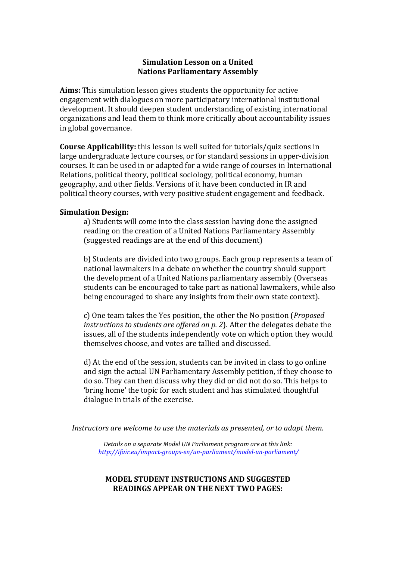## **Simulation Lesson on a United Nations Parliamentary Assembly**

**Aims:** This simulation lesson gives students the opportunity for active engagement with dialogues on more participatory international institutional development. It should deepen student understanding of existing international organizations and lead them to think more critically about accountability issues in global governance.

**Course Applicability:** this lesson is well suited for tutorials/quiz sections in large undergraduate lecture courses, or for standard sessions in upper-division courses. It can be used in or adapted for a wide range of courses in International Relations, political theory, political sociology, political economy, human geography, and other fields. Versions of it have been conducted in IR and political theory courses, with very positive student engagement and feedback.

## **Simulation Design:**

a) Students will come into the class session having done the assigned reading on the creation of a United Nations Parliamentary Assembly (suggested readings are at the end of this document)

b) Students are divided into two groups. Each group represents a team of national lawmakers in a debate on whether the country should support the development of a United Nations parliamentary assembly (Overseas students can be encouraged to take part as national lawmakers, while also being encouraged to share any insights from their own state context).

c) One team takes the Yes position, the other the No position (*Proposed instructions to students are offered on p. 2*). After the delegates debate the issues, all of the students independently vote on which option they would themselves choose, and votes are tallied and discussed.

d) At the end of the session, students can be invited in class to go online and sign the actual UN Parliamentary Assembly petition, if they choose to do so. They can then discuss why they did or did not do so. This helps to 'bring home' the topic for each student and has stimulated thoughtful dialogue in trials of the exercise.

*Instructors are welcome to use the materials as presented, or to adapt them.*

*Details on a separate Model UN Parliament program are at this link: http://ifair.eu/impact‐groups‐en/un‐parliament/model‐un‐parliament/*

## **MODEL STUDENT INSTRUCTIONS AND SUGGESTED READINGS APPEAR ON THE NEXT TWO PAGES:**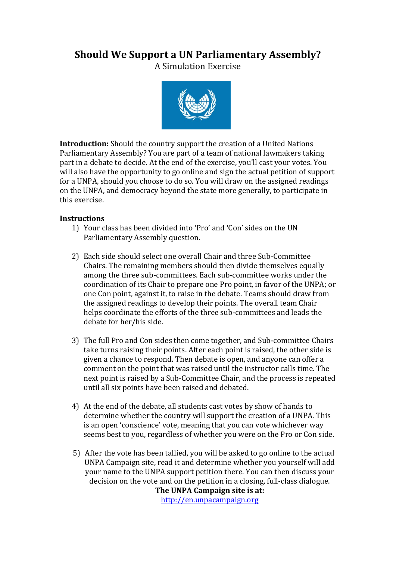# **Should We Support a UN Parliamentary Assembly?**

A Simulation Exercise 



**Introduction:** Should the country support the creation of a United Nations Parliamentary Assembly? You are part of a team of national lawmakers taking part in a debate to decide. At the end of the exercise, you'll cast your votes. You will also have the opportunity to go online and sign the actual petition of support for a UNPA, should you choose to do so. You will draw on the assigned readings on the UNPA, and democracy beyond the state more generally, to participate in this exercise.

# **Instructions**

- 1) Your class has been divided into 'Pro' and 'Con' sides on the UN Parliamentary Assembly question.
- 2) Each side should select one overall Chair and three Sub-Committee Chairs. The remaining members should then divide themselves equally among the three sub-committees. Each sub-committee works under the coordination of its Chair to prepare one Pro point, in favor of the UNPA; or one Con point, against it, to raise in the debate. Teams should draw from the assigned readings to develop their points. The overall team Chair helps coordinate the efforts of the three sub-committees and leads the debate for her/his side.
- 3) The full Pro and Con sides then come together, and Sub-committee Chairs take turns raising their points. After each point is raised, the other side is given a chance to respond. Then debate is open, and anyone can offer a comment on the point that was raised until the instructor calls time. The next point is raised by a Sub-Committee Chair, and the process is repeated until all six points have been raised and debated.
- 4) At the end of the debate, all students cast votes by show of hands to determine whether the country will support the creation of a UNPA. This is an open 'conscience' vote, meaning that you can vote whichever way seems best to you, regardless of whether you were on the Pro or Con side.
- 5) After the vote has been tallied, you will be asked to go online to the actual UNPA Campaign site, read it and determine whether you yourself will add your name to the UNPA support petition there. You can then discuss your decision on the vote and on the petition in a closing, full-class dialogue. **The UNPA Campaign site is at:** http://en.unpacampaign.org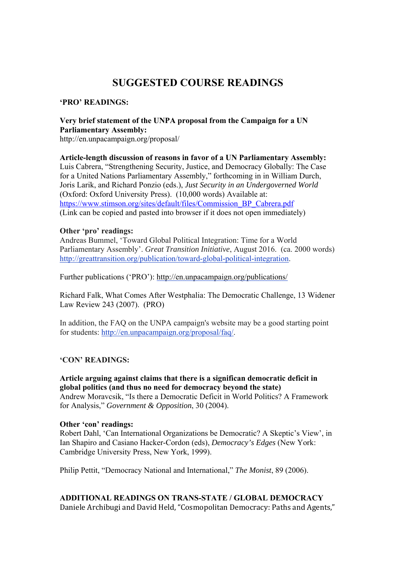# **SUGGESTED COURSE READINGS**

## **'PRO' READINGS:**

# **Very brief statement of the UNPA proposal from the Campaign for a UN Parliamentary Assembly:**

http://en.unpacampaign.org/proposal/

**Article-length discussion of reasons in favor of a UN Parliamentary Assembly:** Luis Cabrera, "Strengthening Security, Justice, and Democracy Globally: The Case for a United Nations Parliamentary Assembly," forthcoming in in William Durch, Joris Larik, and Richard Ponzio (eds.), *Just Security in an Undergoverned World* (Oxford: Oxford University Press). (10,000 words) Available at: https://www.stimson.org/sites/default/files/Commission\_BP\_Cabrera.pdf (Link can be copied and pasted into browser if it does not open immediately)

#### **Other 'pro' readings:**

Andreas Bummel, 'Toward Global Political Integration: Time for a World Parliamentary Assembly'. *Great Transition Initiative*, August 2016. (ca. 2000 words) http://greattransition.org/publication/toward-global-political-integration.

Further publications ('PRO'): http://en.unpacampaign.org/publications/

Richard Falk, What Comes After Westphalia: The Democratic Challenge, 13 Widener Law Review 243 (2007). (PRO)

In addition, the FAQ on the UNPA campaign's website may be a good starting point for students: http://en.unpacampaign.org/proposal/faq/.

## **'CON' READINGS:**

## **Article arguing against claims that there is a significan democratic deficit in global politics (and thus no need for democracy beyond the state)** Andrew Moravcsik, "Is there a Democratic Deficit in World Politics? A Framework

for Analysis," *Government & Opposition*, 30 (2004).

#### **Other 'con' readings:**

Robert Dahl, 'Can International Organizations be Democratic? A Skeptic's View', in Ian Shapiro and Casiano Hacker-Cordon (eds), *Democracy's Edges* (New York: Cambridge University Press, New York, 1999).

Philip Pettit, "Democracy National and International," *The Monist*, 89 (2006).

## **ADDITIONAL READINGS ON TRANS-STATE / GLOBAL DEMOCRACY**

Daniele Archibugi and David Held, "Cosmopolitan Democracy: Paths and Agents,"